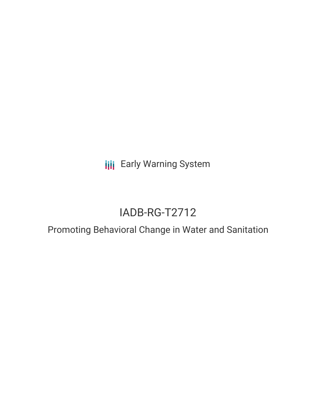**III** Early Warning System

# IADB-RG-T2712

## Promoting Behavioral Change in Water and Sanitation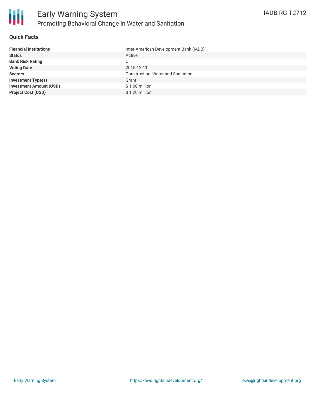### **Quick Facts**

| Inter-American Development Bank (IADB) |
|----------------------------------------|
| Active                                 |
| C.                                     |
| 2015-12-11                             |
| Construction, Water and Sanitation     |
| Grant                                  |
| \$1.00 million                         |
| $$1.20$ million                        |
|                                        |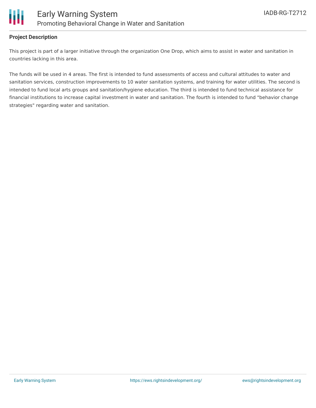

### **Project Description**

This project is part of a larger initiative through the organization One Drop, which aims to assist in water and sanitation in countries lacking in this area.

The funds will be used in 4 areas. The first is intended to fund assessments of access and cultural attitudes to water and sanitation services, construction improvements to 10 water sanitation systems, and training for water utilities. The second is intended to fund local arts groups and sanitation/hygiene education. The third is intended to fund technical assistance for financial institutions to increase capital investment in water and sanitation. The fourth is intended to fund "behavior change strategies" regarding water and sanitation.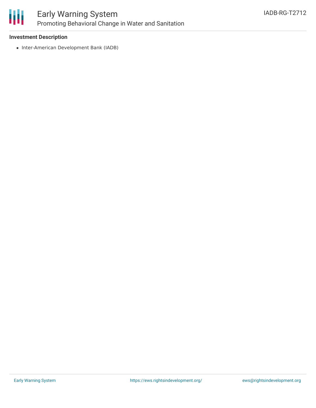

### Early Warning System Promoting Behavioral Change in Water and Sanitation

### **Investment Description**

• Inter-American Development Bank (IADB)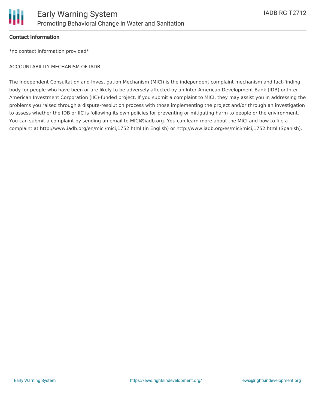

### **Contact Information**

\*no contact information provided\*

### ACCOUNTABILITY MECHANISM OF IADB:

The Independent Consultation and Investigation Mechanism (MICI) is the independent complaint mechanism and fact-finding body for people who have been or are likely to be adversely affected by an Inter-American Development Bank (IDB) or Inter-American Investment Corporation (IIC)-funded project. If you submit a complaint to MICI, they may assist you in addressing the problems you raised through a dispute-resolution process with those implementing the project and/or through an investigation to assess whether the IDB or IIC is following its own policies for preventing or mitigating harm to people or the environment. You can submit a complaint by sending an email to MICI@iadb.org. You can learn more about the MICI and how to file a complaint at http://www.iadb.org/en/mici/mici,1752.html (in English) or http://www.iadb.org/es/mici/mici,1752.html (Spanish).